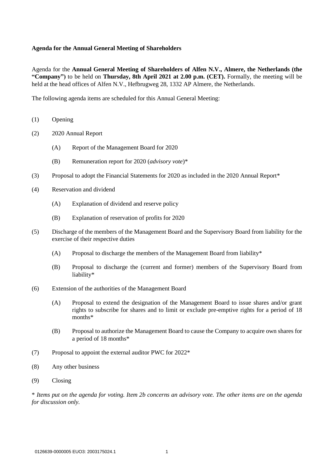### **Agenda for the Annual General Meeting of Shareholders**

Agenda for the **Annual General Meeting of Shareholders of Alfen N.V., Almere, the Netherlands (the "Company")** to be held on **Thursday, 8th April 2021 at 2.00 p.m. (CET).** Formally, the meeting will be held at the head offices of Alfen N.V., Hefbrugweg 28, 1332 AP Almere, the Netherlands.

The following agenda items are scheduled for this Annual General Meeting:

- (1) Opening
- (2) 2020 Annual Report
	- (A) Report of the Management Board for 2020
	- (B) Remuneration report for 2020 (*advisory vote*)\*
- (3) Proposal to adopt the Financial Statements for 2020 as included in the 2020 Annual Report\*
- (4) Reservation and dividend
	- (A) Explanation of dividend and reserve policy
	- (B) Explanation of reservation of profits for 2020
- (5) Discharge of the members of the Management Board and the Supervisory Board from liability for the exercise of their respective duties
	- (A) Proposal to discharge the members of the Management Board from liability\*
	- (B) Proposal to discharge the (current and former) members of the Supervisory Board from liability\*
- (6) Extension of the authorities of the Management Board
	- (A) Proposal to extend the designation of the Management Board to issue shares and/or grant rights to subscribe for shares and to limit or exclude pre-emptive rights for a period of 18 months\*
	- (B) Proposal to authorize the Management Board to cause the Company to acquire own shares for a period of 18 months\*
- (7) Proposal to appoint the external auditor PWC for  $2022^*$
- (8) Any other business
- (9) Closing

\* *Items put on the agenda for voting. Item 2b concerns an advisory vote. The other items are on the agenda for discussion only.*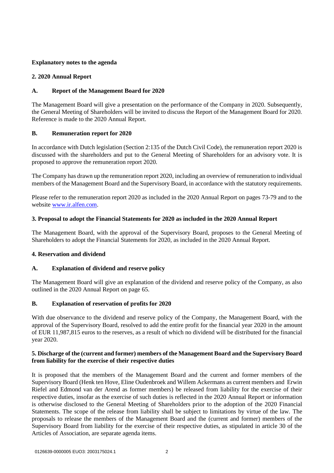# **Explanatory notes to the agenda**

## **2. 2020 Annual Report**

## **A. Report of the Management Board for 2020**

The Management Board will give a presentation on the performance of the Company in 2020. Subsequently, the General Meeting of Shareholders will be invited to discuss the Report of the Management Board for 2020. Reference is made to the 2020 Annual Report.

## **B. Remuneration report for 2020**

In accordance with Dutch legislation (Section 2:135 of the Dutch Civil Code), the remuneration report 2020 is discussed with the shareholders and put to the General Meeting of Shareholders for an advisory vote. It is proposed to approve the remuneration report 2020.

The Company has drawn up the remuneration report 2020, including an overview of remuneration to individual members of the Management Board and the Supervisory Board, in accordance with the statutory requirements.

Please refer to the remuneration report 2020 as included in the 2020 Annual Report on pages 73-79 and to the website [www.ir.alfen.com.](http://www.ir.alfen.com/)

### **3. Proposal to adopt the Financial Statements for 2020 as included in the 2020 Annual Report**

The Management Board, with the approval of the Supervisory Board, proposes to the General Meeting of Shareholders to adopt the Financial Statements for 2020, as included in the 2020 Annual Report.

### **4. Reservation and dividend**

# **A. Explanation of dividend and reserve policy**

The Management Board will give an explanation of the dividend and reserve policy of the Company, as also outlined in the 2020 Annual Report on page 65.

### **B. Explanation of reservation of profits for 2020**

With due observance to the dividend and reserve policy of the Company, the Management Board, with the approval of the Supervisory Board, resolved to add the entire profit for the financial year 2020 in the amount of EUR 11,987,815 euros to the reserves, as a result of which no dividend will be distributed for the financial year 2020.

## **5. Discharge of the (current and former) members of the Management Board and the Supervisory Board from liability for the exercise of their respective duties**

It is proposed that the members of the Management Board and the current and former members of the Supervisory Board (Henk ten Hove, Eline Oudenbroek and Willem Ackermans as current members and Erwin Riefel and Edmond van der Arend as former members) be released from liability for the exercise of their respective duties, insofar as the exercise of such duties is reflected in the 2020 Annual Report or information is otherwise disclosed to the General Meeting of Shareholders prior to the adoption of the 2020 Financial Statements. The scope of the release from liability shall be subject to limitations by virtue of the law. The proposals to release the members of the Management Board and the (current and former) members of the Supervisory Board from liability for the exercise of their respective duties, as stipulated in article 30 of the Articles of Association, are separate agenda items.